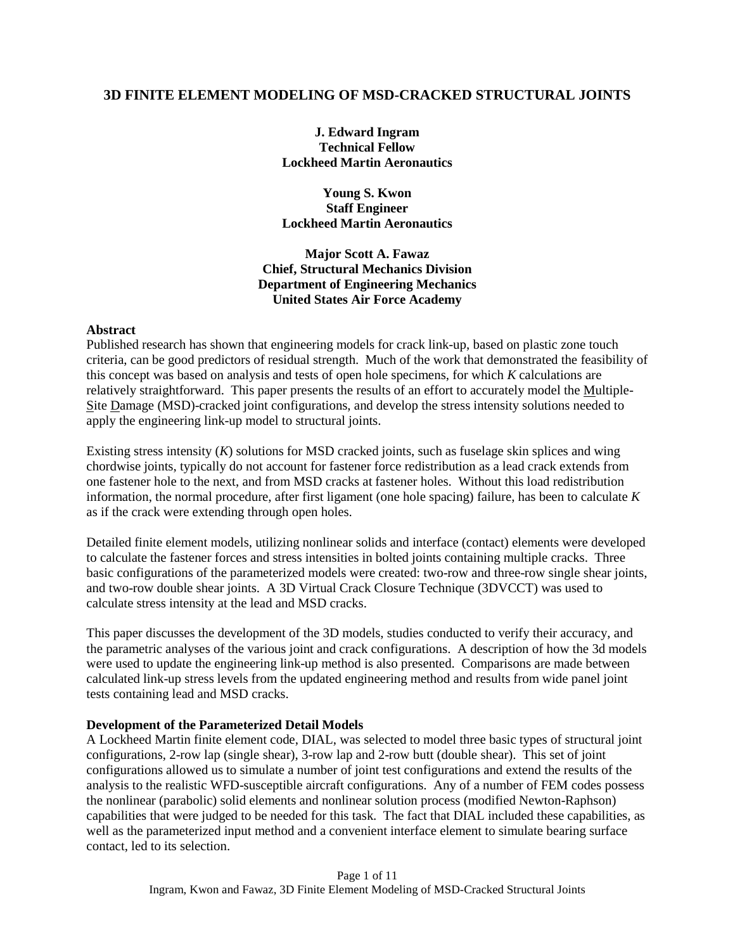## **3D FINITE ELEMENT MODELING OF MSD-CRACKED STRUCTURAL JOINTS**

**J. Edward Ingram Technical Fellow Lockheed Martin Aeronautics** 

**Young S. Kwon Staff Engineer Lockheed Martin Aeronautics** 

**Major Scott A. Fawaz Chief, Structural Mechanics Division Department of Engineering Mechanics United States Air Force Academy** 

#### **Abstract**

Published research has shown that engineering models for crack link-up, based on plastic zone touch criteria, can be good predictors of residual strength. Much of the work that demonstrated the feasibility of this concept was based on analysis and tests of open hole specimens, for which *K* calculations are relatively straightforward. This paper presents the results of an effort to accurately model the Multiple-Site Damage (MSD)-cracked joint configurations, and develop the stress intensity solutions needed to apply the engineering link-up model to structural joints.

Existing stress intensity (*K*) solutions for MSD cracked joints, such as fuselage skin splices and wing chordwise joints, typically do not account for fastener force redistribution as a lead crack extends from one fastener hole to the next, and from MSD cracks at fastener holes. Without this load redistribution information, the normal procedure, after first ligament (one hole spacing) failure, has been to calculate *K* as if the crack were extending through open holes.

Detailed finite element models, utilizing nonlinear solids and interface (contact) elements were developed to calculate the fastener forces and stress intensities in bolted joints containing multiple cracks. Three basic configurations of the parameterized models were created: two-row and three-row single shear joints, and two-row double shear joints. A 3D Virtual Crack Closure Technique (3DVCCT) was used to calculate stress intensity at the lead and MSD cracks.

This paper discusses the development of the 3D models, studies conducted to verify their accuracy, and the parametric analyses of the various joint and crack configurations. A description of how the 3d models were used to update the engineering link-up method is also presented. Comparisons are made between calculated link-up stress levels from the updated engineering method and results from wide panel joint tests containing lead and MSD cracks.

### **Development of the Parameterized Detail Models**

A Lockheed Martin finite element code, DIAL, was selected to model three basic types of structural joint configurations, 2-row lap (single shear), 3-row lap and 2-row butt (double shear). This set of joint configurations allowed us to simulate a number of joint test configurations and extend the results of the analysis to the realistic WFD-susceptible aircraft configurations. Any of a number of FEM codes possess the nonlinear (parabolic) solid elements and nonlinear solution process (modified Newton-Raphson) capabilities that were judged to be needed for this task. The fact that DIAL included these capabilities, as well as the parameterized input method and a convenient interface element to simulate bearing surface contact, led to its selection.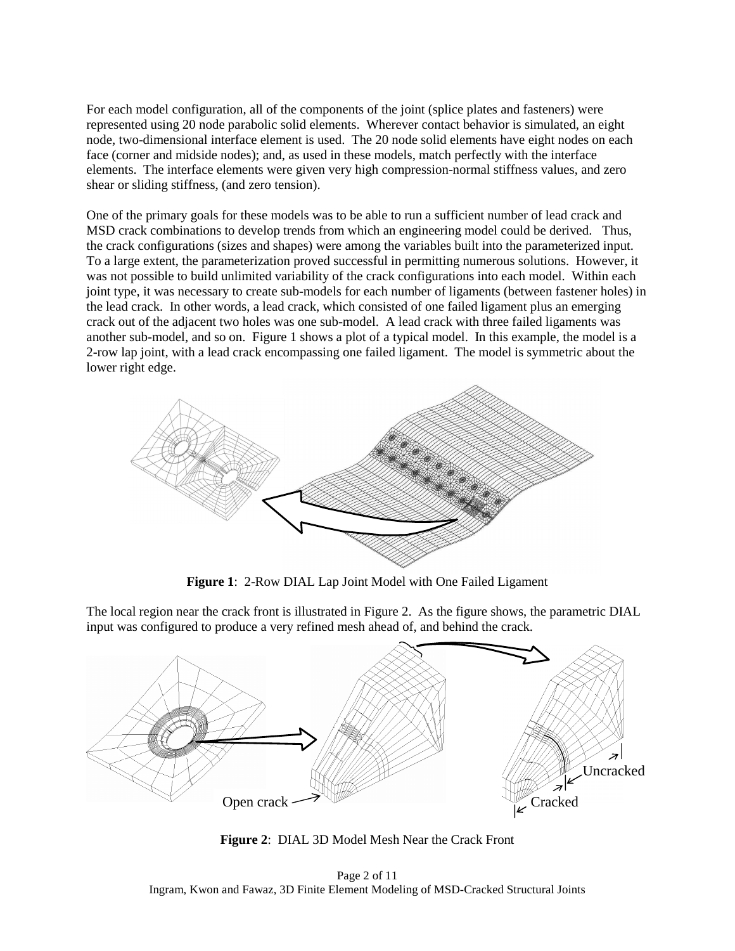For each model configuration, all of the components of the joint (splice plates and fasteners) were represented using 20 node parabolic solid elements. Wherever contact behavior is simulated, an eight node, two-dimensional interface element is used. The 20 node solid elements have eight nodes on each face (corner and midside nodes); and, as used in these models, match perfectly with the interface elements. The interface elements were given very high compression-normal stiffness values, and zero shear or sliding stiffness, (and zero tension).

One of the primary goals for these models was to be able to run a sufficient number of lead crack and MSD crack combinations to develop trends from which an engineering model could be derived. Thus, the crack configurations (sizes and shapes) were among the variables built into the parameterized input. To a large extent, the parameterization proved successful in permitting numerous solutions. However, it was not possible to build unlimited variability of the crack configurations into each model. Within each joint type, it was necessary to create sub-models for each number of ligaments (between fastener holes) in the lead crack. In other words, a lead crack, which consisted of one failed ligament plus an emerging crack out of the adjacent two holes was one sub-model. A lead crack with three failed ligaments was another sub-model, and so on. Figure 1 shows a plot of a typical model. In this example, the model is a 2-row lap joint, with a lead crack encompassing one failed ligament. The model is symmetric about the lower right edge.



**Figure 1**: 2-Row DIAL Lap Joint Model with One Failed Ligament

The local region near the crack front is illustrated in Figure 2. As the figure shows, the parametric DIAL input was configured to produce a very refined mesh ahead of, and behind the crack.



**Figure 2**: DIAL 3D Model Mesh Near the Crack Front

Page 2 of 11 Ingram, Kwon and Fawaz, 3D Finite Element Modeling of MSD-Cracked Structural Joints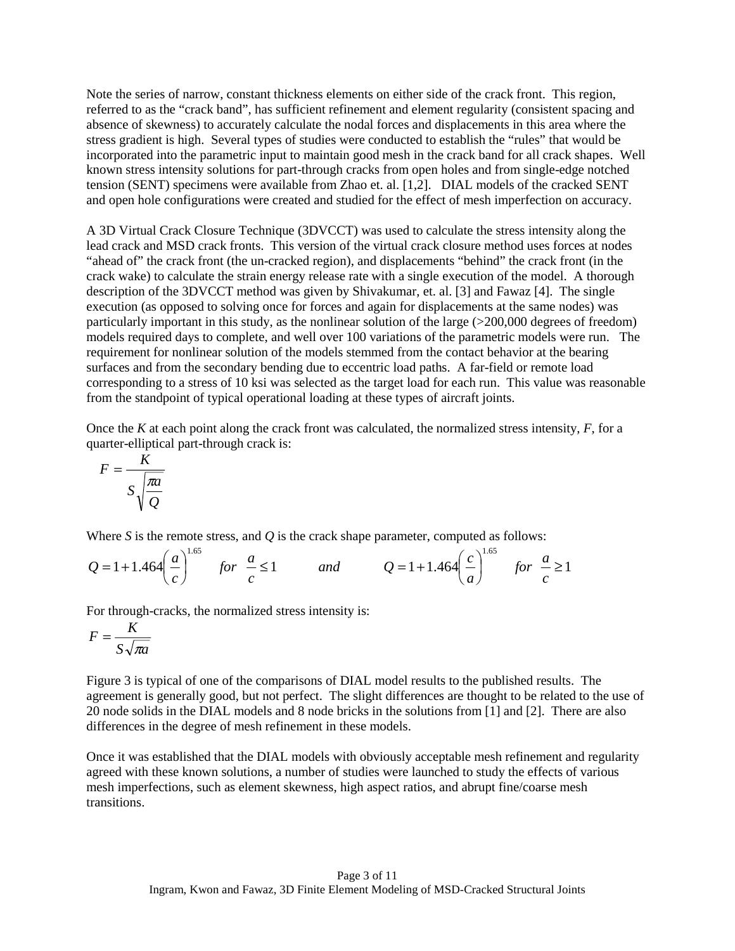Note the series of narrow, constant thickness elements on either side of the crack front. This region, referred to as the "crack band", has sufficient refinement and element regularity (consistent spacing and absence of skewness) to accurately calculate the nodal forces and displacements in this area where the stress gradient is high. Several types of studies were conducted to establish the "rules" that would be incorporated into the parametric input to maintain good mesh in the crack band for all crack shapes. Well known stress intensity solutions for part-through cracks from open holes and from single-edge notched tension (SENT) specimens were available from Zhao et. al. [1,2]. DIAL models of the cracked SENT and open hole configurations were created and studied for the effect of mesh imperfection on accuracy.

A 3D Virtual Crack Closure Technique (3DVCCT) was used to calculate the stress intensity along the lead crack and MSD crack fronts. This version of the virtual crack closure method uses forces at nodes "ahead of" the crack front (the un-cracked region), and displacements "behind" the crack front (in the crack wake) to calculate the strain energy release rate with a single execution of the model. A thorough description of the 3DVCCT method was given by Shivakumar, et. al. [3] and Fawaz [4]. The single execution (as opposed to solving once for forces and again for displacements at the same nodes) was particularly important in this study, as the nonlinear solution of the large (>200,000 degrees of freedom) models required days to complete, and well over 100 variations of the parametric models were run. The requirement for nonlinear solution of the models stemmed from the contact behavior at the bearing surfaces and from the secondary bending due to eccentric load paths. A far-field or remote load corresponding to a stress of 10 ksi was selected as the target load for each run. This value was reasonable from the standpoint of typical operational loading at these types of aircraft joints.

Once the *K* at each point along the crack front was calculated, the normalized stress intensity, *F*, for a quarter-elliptical part-through crack is:

$$
F = \frac{K}{S\sqrt{\frac{\pi a}{Q}}}
$$

Where *S* is the remote stress, and *Q* is the crack shape parameter, computed as follows:

$$
Q = 1 + 1.464 \left(\frac{a}{c}\right)^{1.65} \quad \text{for} \quad \frac{a}{c} \le 1 \qquad \text{and} \qquad Q = 1 + 1.464 \left(\frac{c}{a}\right)^{1.65} \quad \text{for} \quad \frac{a}{c} \ge 1
$$

For through-cracks, the normalized stress intensity is:

$$
F = \frac{K}{S\sqrt{\pi a}}
$$

Figure 3 is typical of one of the comparisons of DIAL model results to the published results. The agreement is generally good, but not perfect. The slight differences are thought to be related to the use of 20 node solids in the DIAL models and 8 node bricks in the solutions from [1] and [2]. There are also differences in the degree of mesh refinement in these models.

Once it was established that the DIAL models with obviously acceptable mesh refinement and regularity agreed with these known solutions, a number of studies were launched to study the effects of various mesh imperfections, such as element skewness, high aspect ratios, and abrupt fine/coarse mesh transitions.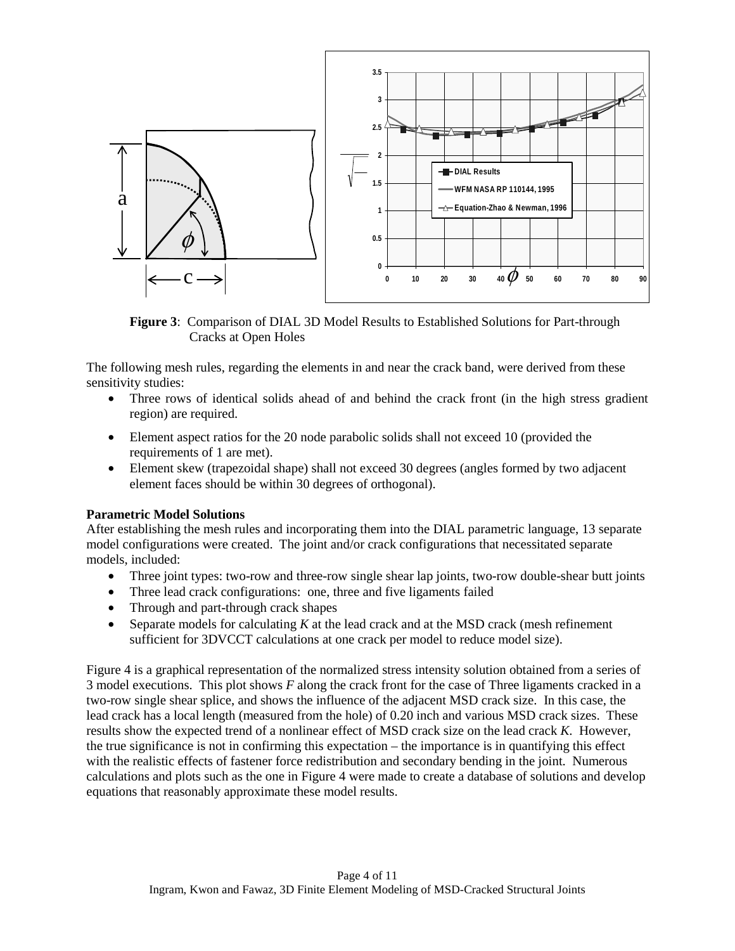

**Figure 3**: Comparison of DIAL 3D Model Results to Established Solutions for Part-through Cracks at Open Holes

The following mesh rules, regarding the elements in and near the crack band, were derived from these sensitivity studies:

- Three rows of identical solids ahead of and behind the crack front (in the high stress gradient region) are required.
- Element aspect ratios for the 20 node parabolic solids shall not exceed 10 (provided the requirements of 1 are met).
- Element skew (trapezoidal shape) shall not exceed 30 degrees (angles formed by two adjacent element faces should be within 30 degrees of orthogonal).

# **Parametric Model Solutions**

After establishing the mesh rules and incorporating them into the DIAL parametric language, 13 separate model configurations were created. The joint and/or crack configurations that necessitated separate models, included:

- Three joint types: two-row and three-row single shear lap joints, two-row double-shear butt joints
- Three lead crack configurations: one, three and five ligaments failed
- Through and part-through crack shapes
- Separate models for calculating *K* at the lead crack and at the MSD crack (mesh refinement sufficient for 3DVCCT calculations at one crack per model to reduce model size).

Figure 4 is a graphical representation of the normalized stress intensity solution obtained from a series of 3 model executions. This plot shows *F* along the crack front for the case of Three ligaments cracked in a two-row single shear splice, and shows the influence of the adjacent MSD crack size. In this case, the lead crack has a local length (measured from the hole) of 0.20 inch and various MSD crack sizes. These results show the expected trend of a nonlinear effect of MSD crack size on the lead crack *K*. However, the true significance is not in confirming this expectation – the importance is in quantifying this effect with the realistic effects of fastener force redistribution and secondary bending in the joint. Numerous calculations and plots such as the one in Figure 4 were made to create a database of solutions and develop equations that reasonably approximate these model results.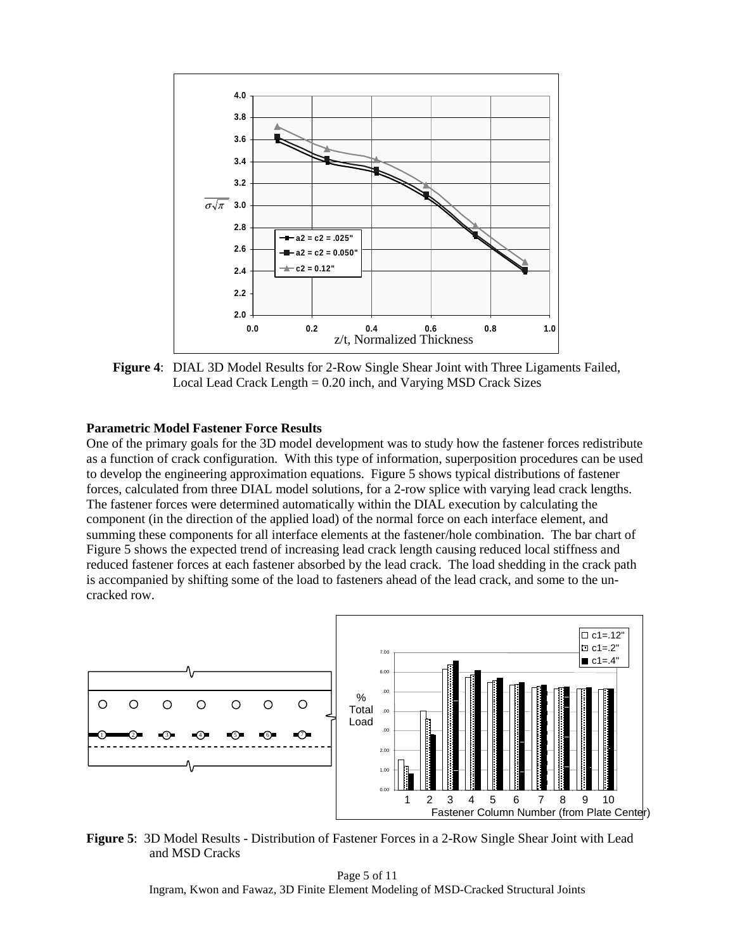

 **Figure 4**: DIAL 3D Model Results for 2-Row Single Shear Joint with Three Ligaments Failed, Local Lead Crack Length = 0.20 inch, and Varying MSD Crack Sizes

### **Parametric Model Fastener Force Results**

One of the primary goals for the 3D model development was to study how the fastener forces redistribute as a function of crack configuration. With this type of information, superposition procedures can be used to develop the engineering approximation equations. Figure 5 shows typical distributions of fastener forces, calculated from three DIAL model solutions, for a 2-row splice with varying lead crack lengths. The fastener forces were determined automatically within the DIAL execution by calculating the component (in the direction of the applied load) of the normal force on each interface element, and summing these components for all interface elements at the fastener/hole combination. The bar chart of Figure 5 shows the expected trend of increasing lead crack length causing reduced local stiffness and reduced fastener forces at each fastener absorbed by the lead crack. The load shedding in the crack path is accompanied by shifting some of the load to fasteners ahead of the lead crack, and some to the uncracked row.



**Figure 5**: 3D Model Results - Distribution of Fastener Forces in a 2-Row Single Shear Joint with Lead and MSD Cracks

Page 5 of 11 Ingram, Kwon and Fawaz, 3D Finite Element Modeling of MSD-Cracked Structural Joints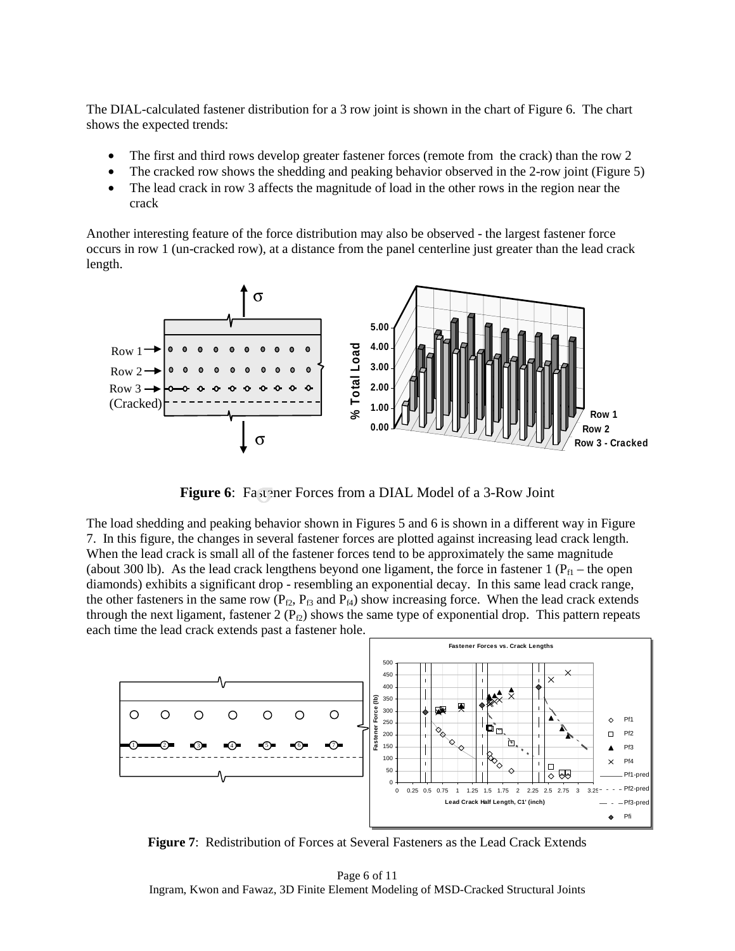The DIAL-calculated fastener distribution for a 3 row joint is shown in the chart of Figure 6. The chart shows the expected trends:

- The first and third rows develop greater fastener forces (remote from the crack) than the row 2
- The cracked row shows the shedding and peaking behavior observed in the 2-row joint (Figure 5)
- The lead crack in row 3 affects the magnitude of load in the other rows in the region near the crack

Another interesting feature of the force distribution may also be observed - the largest fastener force occurs in row 1 (un-cracked row), at a distance from the panel centerline just greater than the lead crack length.



**Figure 6**: Fastener Forces from a DIAL Model of a 3-Row Joint

The load shedding and peaking behavior shown in Figures 5 and 6 is shown in a different way in Figure 7. In this figure, the changes in several fastener forces are plotted against increasing lead crack length. When the lead crack is small all of the fastener forces tend to be approximately the same magnitude (about 300 lb). As the lead crack lengthens beyond one ligament, the force in fastener 1 ( $P_{f1}$  – the open diamonds) exhibits a significant drop - resembling an exponential decay. In this same lead crack range, the other fasteners in the same row ( $P_{f2}$ ,  $P_{f3}$  and  $P_{f4}$ ) show increasing force. When the lead crack extends through the next ligament, fastener 2 ( $P_{f2}$ ) shows the same type of exponential drop. This pattern repeats each time the lead crack extends past a fastener hole.



**Figure 7**: Redistribution of Forces at Several Fasteners as the Lead Crack Extends

Page 6 of 11 Ingram, Kwon and Fawaz, 3D Finite Element Modeling of MSD-Cracked Structural Joints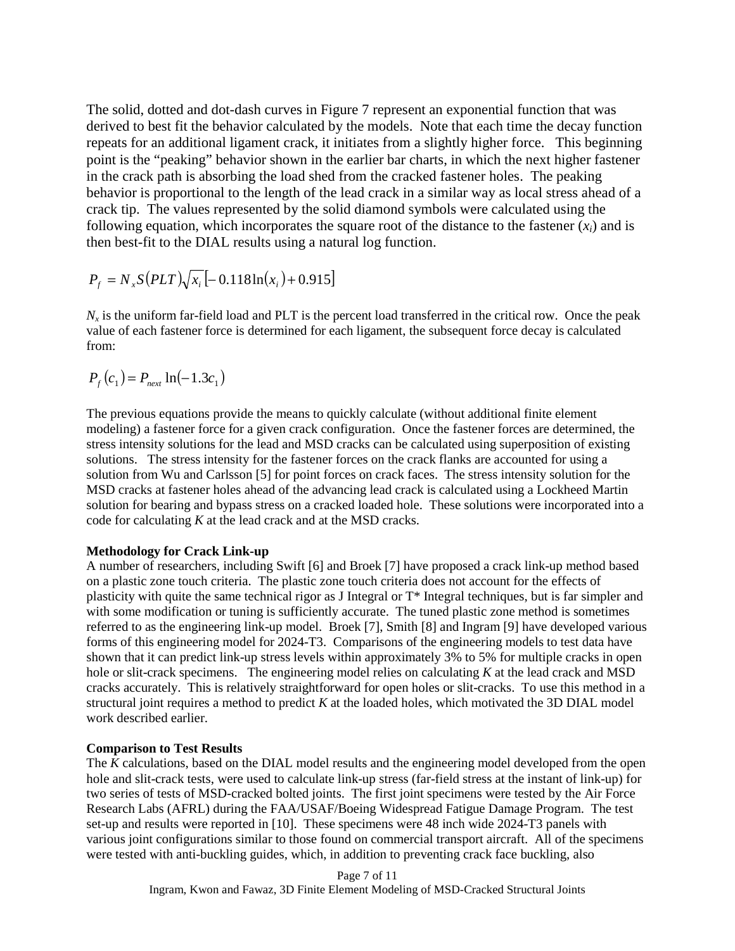The solid, dotted and dot-dash curves in Figure 7 represent an exponential function that was derived to best fit the behavior calculated by the models. Note that each time the decay function repeats for an additional ligament crack, it initiates from a slightly higher force. This beginning point is the "peaking" behavior shown in the earlier bar charts, in which the next higher fastener in the crack path is absorbing the load shed from the cracked fastener holes. The peaking behavior is proportional to the length of the lead crack in a similar way as local stress ahead of a crack tip. The values represented by the solid diamond symbols were calculated using the following equation, which incorporates the square root of the distance to the fastener  $(x<sub>i</sub>)$  and is then best-fit to the DIAL results using a natural log function.

$$
P_f = N_x S (PLT) \sqrt{x_i} \left[ -0.118 \ln(x_i) + 0.915 \right]
$$

 $N<sub>x</sub>$  is the uniform far-field load and PLT is the percent load transferred in the critical row. Once the peak value of each fastener force is determined for each ligament, the subsequent force decay is calculated from:

$$
P_f(c_1) = P_{\text{next}} \ln(-1.3c_1)
$$

The previous equations provide the means to quickly calculate (without additional finite element modeling) a fastener force for a given crack configuration. Once the fastener forces are determined, the stress intensity solutions for the lead and MSD cracks can be calculated using superposition of existing solutions. The stress intensity for the fastener forces on the crack flanks are accounted for using a solution from Wu and Carlsson [5] for point forces on crack faces. The stress intensity solution for the MSD cracks at fastener holes ahead of the advancing lead crack is calculated using a Lockheed Martin solution for bearing and bypass stress on a cracked loaded hole. These solutions were incorporated into a code for calculating *K* at the lead crack and at the MSD cracks.

## **Methodology for Crack Link-up**

A number of researchers, including Swift [6] and Broek [7] have proposed a crack link-up method based on a plastic zone touch criteria. The plastic zone touch criteria does not account for the effects of plasticity with quite the same technical rigor as J Integral or T\* Integral techniques, but is far simpler and with some modification or tuning is sufficiently accurate. The tuned plastic zone method is sometimes referred to as the engineering link-up model. Broek [7], Smith [8] and Ingram [9] have developed various forms of this engineering model for 2024-T3. Comparisons of the engineering models to test data have shown that it can predict link-up stress levels within approximately 3% to 5% for multiple cracks in open hole or slit-crack specimens. The engineering model relies on calculating *K* at the lead crack and MSD cracks accurately. This is relatively straightforward for open holes or slit-cracks. To use this method in a structural joint requires a method to predict *K* at the loaded holes, which motivated the 3D DIAL model work described earlier.

## **Comparison to Test Results**

The *K* calculations, based on the DIAL model results and the engineering model developed from the open hole and slit-crack tests, were used to calculate link-up stress (far-field stress at the instant of link-up) for two series of tests of MSD-cracked bolted joints. The first joint specimens were tested by the Air Force Research Labs (AFRL) during the FAA/USAF/Boeing Widespread Fatigue Damage Program. The test set-up and results were reported in [10]. These specimens were 48 inch wide 2024-T3 panels with various joint configurations similar to those found on commercial transport aircraft. All of the specimens were tested with anti-buckling guides, which, in addition to preventing crack face buckling, also

> Page 7 of 11 Ingram, Kwon and Fawaz, 3D Finite Element Modeling of MSD-Cracked Structural Joints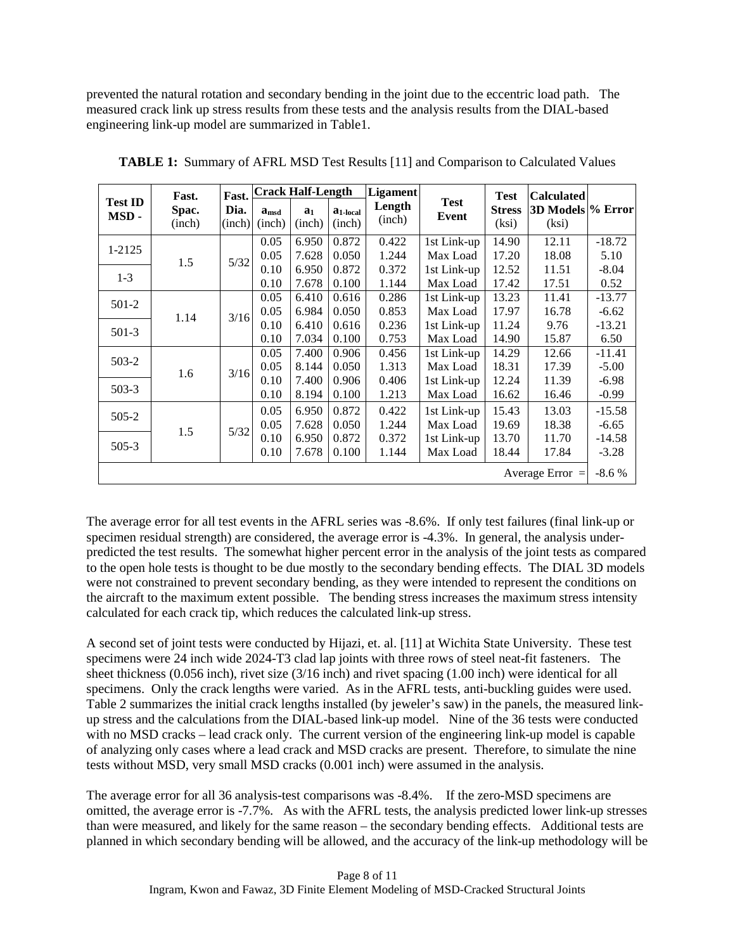prevented the natural rotation and secondary bending in the joint due to the eccentric load path. The measured crack link up stress results from these tests and the analysis results from the DIAL-based engineering link-up model are summarized in Table1.

|                        | Fast.<br>Spac.<br>(inch) | Fast.<br>Dia.<br>(inch) | <b>Crack Half-Length</b>            |                          |                         | <b>Ligament</b>  |                         | Test                   | <b>Calculated</b>          |                     |
|------------------------|--------------------------|-------------------------|-------------------------------------|--------------------------|-------------------------|------------------|-------------------------|------------------------|----------------------------|---------------------|
| <b>Test ID</b><br>MSD- |                          |                         | $\mathbf{a}_{\text{msd}}$<br>(inch) | a <sub>1</sub><br>(inch) | $a_{1-local}$<br>(inch) | Length<br>(inch) | <b>Test</b><br>Event    | <b>Stress</b><br>(ksi) | 3D Models % Error<br>(ksi) |                     |
| 1-2125                 | 1.5                      | 5/32                    | 0.05<br>0.05                        | 6.950<br>7.628           | 0.872<br>0.050          | 0.422<br>1.244   | 1st Link-up<br>Max Load | 14.90<br>17.20         | 12.11<br>18.08             | $-18.72$<br>5.10    |
| $1 - 3$                |                          |                         | 0.10<br>0.10                        | 6.950<br>7.678           | 0.872<br>0.100          | 0.372<br>1.144   | 1st Link-up<br>Max Load | 12.52<br>17.42         | 11.51<br>17.51             | $-8.04$<br>0.52     |
| $501-2$                | 1.14                     | 3/16                    | 0.05<br>0.05                        | 6.410<br>6.984           | 0.616<br>0.050          | 0.286<br>0.853   | 1st Link-up<br>Max Load | 13.23<br>17.97         | 11.41<br>16.78             | $-13.77$<br>$-6.62$ |
| $501-3$                |                          |                         | 0.10<br>0.10                        | 6.410<br>7.034           | 0.616<br>0.100          | 0.236<br>0.753   | 1st Link-up<br>Max Load | 11.24<br>14.90         | 9.76<br>15.87              | $-13.21$<br>6.50    |
| $503-2$                | 1.6                      | 3/16                    | 0.05<br>0.05                        | 7.400<br>8.144           | 0.906<br>0.050          | 0.456<br>1.313   | 1st Link-up<br>Max Load | 14.29<br>18.31         | 12.66<br>17.39             | $-11.41$<br>$-5.00$ |
| $503-3$                |                          |                         | 0.10<br>0.10                        | 7.400<br>8.194           | 0.906<br>0.100          | 0.406<br>1.213   | 1st Link-up<br>Max Load | 12.24<br>16.62         | 11.39<br>16.46             | $-6.98$<br>$-0.99$  |
| $505-2$                |                          | $5/32$                  | 0.05<br>0.05                        | 6.950<br>7.628           | 0.872<br>0.050          | 0.422<br>1.244   | 1st Link-up<br>Max Load | 15.43<br>19.69         | 13.03<br>18.38             | $-15.58$<br>$-6.65$ |
| $505-3$                | 1.5                      |                         | 0.10<br>0.10                        | 6.950<br>7.678           | 0.872<br>0.100          | 0.372<br>1.144   | 1st Link-up<br>Max Load | 13.70<br>18.44         | 11.70<br>17.84             | $-14.58$<br>$-3.28$ |
| Average Error $=$      |                          |                         |                                     |                          |                         |                  |                         |                        |                            | $-8.6%$             |

**TABLE 1:** Summary of AFRL MSD Test Results [11] and Comparison to Calculated Values

The average error for all test events in the AFRL series was -8.6%. If only test failures (final link-up or specimen residual strength) are considered, the average error is -4.3%. In general, the analysis underpredicted the test results. The somewhat higher percent error in the analysis of the joint tests as compared to the open hole tests is thought to be due mostly to the secondary bending effects. The DIAL 3D models were not constrained to prevent secondary bending, as they were intended to represent the conditions on the aircraft to the maximum extent possible. The bending stress increases the maximum stress intensity calculated for each crack tip, which reduces the calculated link-up stress.

A second set of joint tests were conducted by Hijazi, et. al. [11] at Wichita State University. These test specimens were 24 inch wide 2024-T3 clad lap joints with three rows of steel neat-fit fasteners. The sheet thickness (0.056 inch), rivet size (3/16 inch) and rivet spacing (1.00 inch) were identical for all specimens. Only the crack lengths were varied. As in the AFRL tests, anti-buckling guides were used. Table 2 summarizes the initial crack lengths installed (by jeweler's saw) in the panels, the measured linkup stress and the calculations from the DIAL-based link-up model. Nine of the 36 tests were conducted with no MSD cracks – lead crack only. The current version of the engineering link-up model is capable of analyzing only cases where a lead crack and MSD cracks are present. Therefore, to simulate the nine tests without MSD, very small MSD cracks (0.001 inch) were assumed in the analysis.

The average error for all 36 analysis-test comparisons was -8.4%. If the zero-MSD specimens are omitted, the average error is -7.7%. As with the AFRL tests, the analysis predicted lower link-up stresses than were measured, and likely for the same reason – the secondary bending effects. Additional tests are planned in which secondary bending will be allowed, and the accuracy of the link-up methodology will be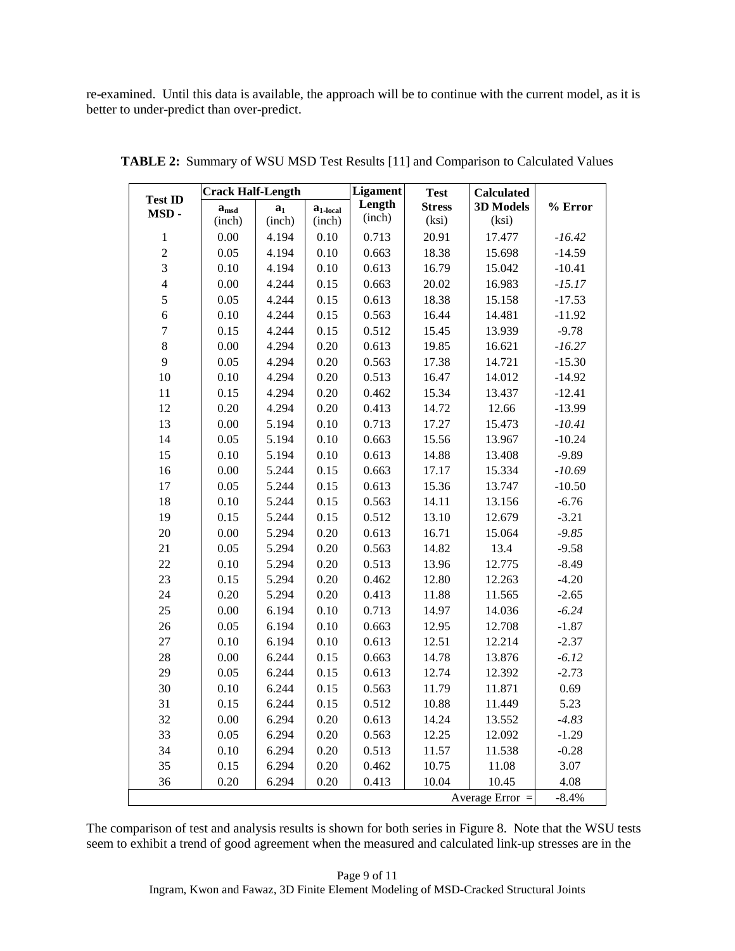re-examined. Until this data is available, the approach will be to continue with the current model, as it is better to under-predict than over-predict.

|                        | <b>Crack Half-Length</b>                    |        |               | <b>Ligament</b> | <b>Test</b>   | <b>Calculated</b> |           |  |
|------------------------|---------------------------------------------|--------|---------------|-----------------|---------------|-------------------|-----------|--|
| <b>Test ID</b><br>MSD- | a <sub>1</sub><br>$\mathbf{a}_{\text{msd}}$ |        | $a_{1-local}$ | Length          | <b>Stress</b> | 3D Models         | $%$ Error |  |
|                        | (inch)                                      | (inch) | (inch)        | (inch)          | (ksi)         | (ksi)             |           |  |
| $\,1$                  | 0.00                                        | 4.194  | 0.10          | 0.713           | 20.91         | 17.477            | $-16.42$  |  |
| $\overline{c}$         | 0.05                                        | 4.194  | 0.10          | 0.663           | 18.38         | 15.698            | $-14.59$  |  |
| $\overline{3}$         | 0.10                                        | 4.194  | 0.10          | 0.613           | 16.79         | 15.042            | $-10.41$  |  |
| $\overline{4}$         | 0.00                                        | 4.244  | 0.15          | 0.663           | 20.02         | 16.983            | $-15.17$  |  |
| 5                      | 0.05                                        | 4.244  | 0.15          | 0.613           | 18.38         | 15.158            | $-17.53$  |  |
| $\overline{6}$         | 0.10                                        | 4.244  | 0.15          | 0.563           | 16.44         | 14.481            | $-11.92$  |  |
| $\overline{7}$         | 0.15                                        | 4.244  | 0.15          | 0.512           | 15.45         | 13.939            | $-9.78$   |  |
| 8                      | 0.00                                        | 4.294  | 0.20          | 0.613           | 19.85         | 16.621            | $-16.27$  |  |
| 9                      | 0.05                                        | 4.294  | 0.20          | 0.563           | 17.38         | 14.721            | $-15.30$  |  |
| 10                     | 0.10                                        | 4.294  | 0.20          | 0.513           | 16.47         | 14.012            | $-14.92$  |  |
| 11                     | 0.15                                        | 4.294  | 0.20          | 0.462           | 15.34         | 13.437            | $-12.41$  |  |
| 12                     | 0.20                                        | 4.294  | 0.20          | 0.413           | 14.72         | 12.66             | $-13.99$  |  |
| 13                     | 0.00                                        | 5.194  | 0.10          | 0.713           | 17.27         | 15.473            | $-10.41$  |  |
| 14                     | 0.05                                        | 5.194  | 0.10          | 0.663           | 15.56         | 13.967            | $-10.24$  |  |
| 15                     | 0.10                                        | 5.194  | 0.10          | 0.613           | 14.88         | 13.408            | $-9.89$   |  |
| 16                     | 0.00                                        | 5.244  | 0.15          | 0.663           | 17.17         | 15.334            | $-10.69$  |  |
| $17\,$                 | 0.05                                        | 5.244  | 0.15          | 0.613           | 15.36         | 13.747            | $-10.50$  |  |
| 18                     | 0.10                                        | 5.244  | 0.15          | 0.563           | 14.11         | 13.156            | $-6.76$   |  |
| 19                     | 0.15                                        | 5.244  | 0.15          | 0.512           | 13.10         | 12.679            | $-3.21$   |  |
| 20                     | 0.00                                        | 5.294  | 0.20          | 0.613           | 16.71         | 15.064            | $-9.85$   |  |
| 21                     | 0.05                                        | 5.294  | 0.20          | 0.563           | 14.82         | 13.4              | $-9.58$   |  |
| 22                     | 0.10                                        | 5.294  | 0.20          | 0.513           | 13.96         | 12.775            | $-8.49$   |  |
| 23                     | 0.15                                        | 5.294  | 0.20          | 0.462           | 12.80         | 12.263            | $-4.20$   |  |
| 24                     | 0.20                                        | 5.294  | 0.20          | 0.413           | 11.88         | 11.565            | $-2.65$   |  |
| 25                     | 0.00                                        | 6.194  | 0.10          | 0.713           | 14.97         | 14.036            | $-6.24$   |  |
| 26                     | 0.05                                        | 6.194  | 0.10          | 0.663           | 12.95         | 12.708            | $-1.87$   |  |
| 27                     | 0.10                                        | 6.194  | 0.10          | 0.613           | 12.51         | 12.214            | $-2.37$   |  |
| 28                     | 0.00                                        | 6.244  | 0.15          | 0.663           | 14.78         | 13.876            | $-6.12$   |  |
| 29                     | 0.05                                        | 6.244  | 0.15          | 0.613           | 12.74         | 12.392            | $-2.73$   |  |
| 30                     | 0.10                                        | 6.244  | 0.15          | 0.563           | 11.79         | 11.871            | 0.69      |  |
| 31                     | 0.15                                        | 6.244  | 0.15          | 0.512           | 10.88         | 11.449            | 5.23      |  |
| 32                     | 0.00                                        | 6.294  | 0.20          | 0.613           | 14.24         | 13.552            | $-4.83$   |  |
| 33                     | 0.05                                        | 6.294  | 0.20          | 0.563           | 12.25         | 12.092            | $-1.29$   |  |
| 34                     | 0.10                                        | 6.294  | 0.20          | 0.513           | 11.57         | 11.538            | $-0.28$   |  |
| 35                     | 0.15                                        | 6.294  | 0.20          | 0.462           | 10.75         | $11.08\,$         | 3.07      |  |
| 36                     | 0.20                                        | 6.294  | 0.20          | 0.413           | 10.04         | 10.45             | 4.08      |  |
|                        |                                             |        |               |                 |               | Average Error $=$ | $-8.4%$   |  |

**TABLE 2:** Summary of WSU MSD Test Results [11] and Comparison to Calculated Values

The comparison of test and analysis results is shown for both series in Figure 8. Note that the WSU tests seem to exhibit a trend of good agreement when the measured and calculated link-up stresses are in the

> Page 9 of 11 Ingram, Kwon and Fawaz, 3D Finite Element Modeling of MSD-Cracked Structural Joints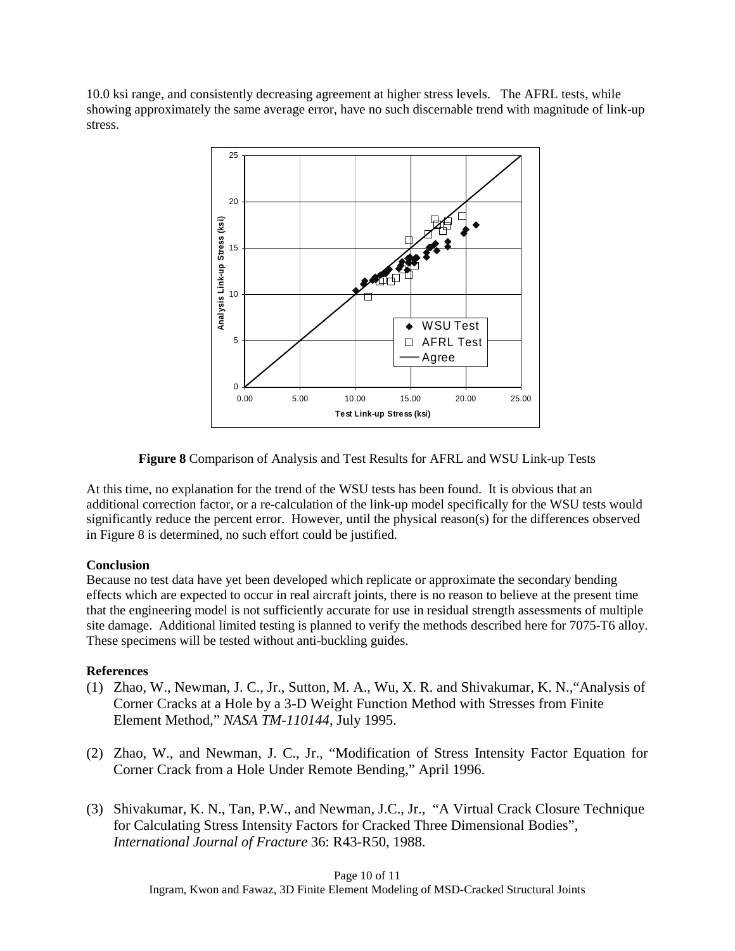10.0 ksi range, and consistently decreasing agreement at higher stress levels. The AFRL tests, while showing approximately the same average error, have no such discernable trend with magnitude of link-up stress.



**Figure 8** Comparison of Analysis and Test Results for AFRL and WSU Link-up Tests

At this time, no explanation for the trend of the WSU tests has been found. It is obvious that an additional correction factor, or a re-calculation of the link-up model specifically for the WSU tests would significantly reduce the percent error. However, until the physical reason(s) for the differences observed in Figure 8 is determined, no such effort could be justified.

# **Conclusion**

Because no test data have yet been developed which replicate or approximate the secondary bending effects which are expected to occur in real aircraft joints, there is no reason to believe at the present time that the engineering model is not sufficiently accurate for use in residual strength assessments of multiple site damage. Additional limited testing is planned to verify the methods described here for 7075-T6 alloy. These specimens will be tested without anti-buckling guides.

# **References**

- (1) Zhao, W., Newman, J. C., Jr., Sutton, M. A., Wu, X. R. and Shivakumar, K. N.,"Analysis of Corner Cracks at a Hole by a 3-D Weight Function Method with Stresses from Finite Element Method," *NASA TM-110144*, July 1995.
- (2) Zhao, W., and Newman, J. C., Jr., "Modification of Stress Intensity Factor Equation for Corner Crack from a Hole Under Remote Bending," April 1996.
- (3) Shivakumar, K. N., Tan, P.W., and Newman, J.C., Jr., "A Virtual Crack Closure Technique for Calculating Stress Intensity Factors for Cracked Three Dimensional Bodies", *International Journal of Fracture* 36: R43-R50, 1988.